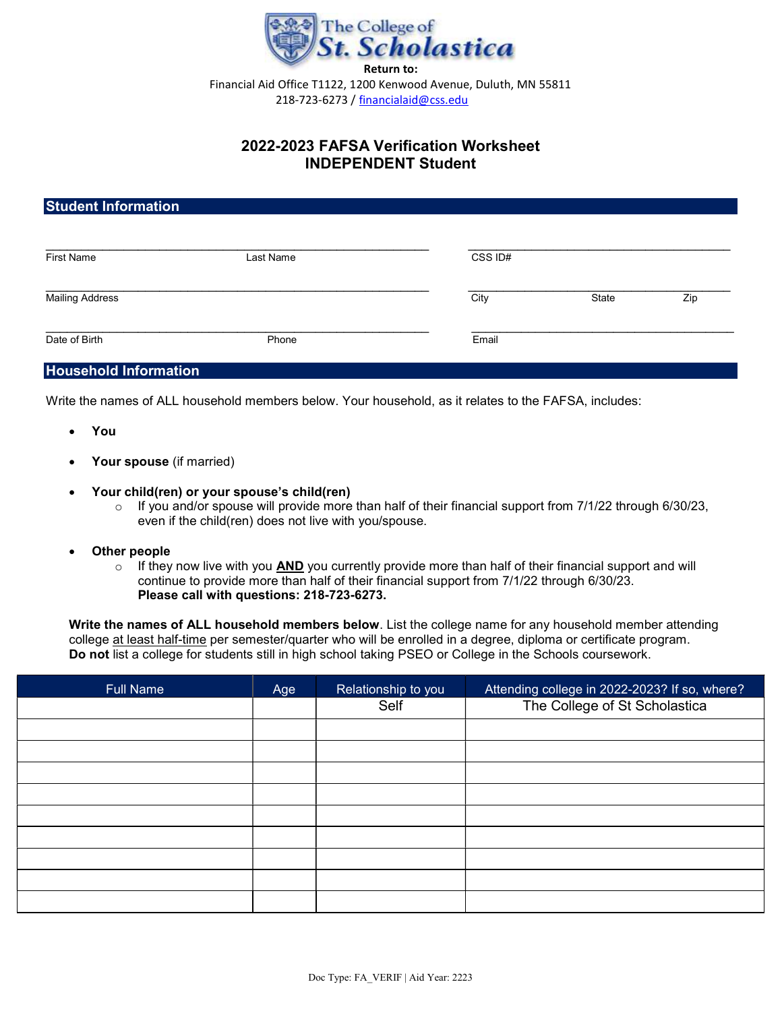

## 2022-2023 FAFSA Verification Worksheet INDEPENDENT Student

| <b>Student Information</b> |           |         |       |     |  |  |
|----------------------------|-----------|---------|-------|-----|--|--|
| <b>First Name</b>          | Last Name | CSS ID# |       |     |  |  |
| <b>Mailing Address</b>     |           | City    | State | Zip |  |  |
| Date of Birth              | Phone     | Email   |       |     |  |  |

## Household Information

Write the names of ALL household members below. Your household, as it relates to the FAFSA, includes:

- You
- Your spouse (if married)
- Your child(ren) or your spouse's child(ren)
	- $\circ$  If you and/or spouse will provide more than half of their financial support from 7/1/22 through 6/30/23, even if the child(ren) does not live with you/spouse.
- Other people
	- $\circ$  If they now live with you AND you currently provide more than half of their financial support and will continue to provide more than half of their financial support from 7/1/22 through 6/30/23. Please call with questions: 218-723-6273.

Write the names of ALL household members below. List the college name for any household member attending college at least half-time per semester/quarter who will be enrolled in a degree, diploma or certificate program. Do not list a college for students still in high school taking PSEO or College in the Schools coursework.

| <b>Full Name</b> | Age | Relationship to you | Attending college in 2022-2023? If so, where? |
|------------------|-----|---------------------|-----------------------------------------------|
|                  |     | Self                | The College of St Scholastica                 |
|                  |     |                     |                                               |
|                  |     |                     |                                               |
|                  |     |                     |                                               |
|                  |     |                     |                                               |
|                  |     |                     |                                               |
|                  |     |                     |                                               |
|                  |     |                     |                                               |
|                  |     |                     |                                               |
|                  |     |                     |                                               |